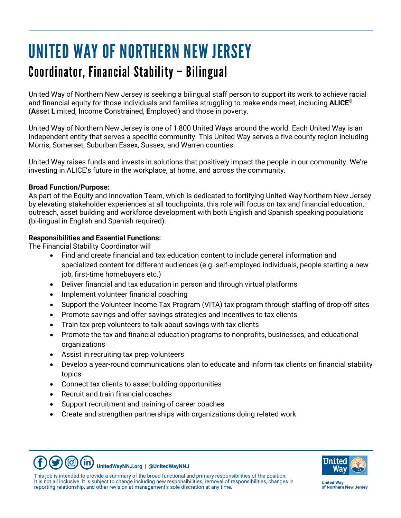# UNITED WAY OF NORTHERN NEW JERSEY Coordinator, Financial Stability – Bilingual

United Way of Northern New Jersey is seeking a bilingual staff person to support its work to achieve racial and financial equity for those individuals and families struggling to make ends meet, including **ALICE®** (**A**sset **L**imited, **I**ncome **C**onstrained, **E**mployed) and those in poverty.

United Way of Northern New Jersey is one of 1,800 United Ways around the world. Each United Way is an independent entity that serves a specific community. This United Way serves a five-county region including Morris, Somerset, Suburban Essex, Sussex, and Warren counties.

United Way raises funds and invests in solutions that positively impact the people in our community. We're investing in ALICE's future in the workplace, at home, and across the community.

## **Broad Function/Purpose:**

As part of the Equity and Innovation Team, which is dedicated to fortifying United Way Northern New Jersey by elevating stakeholder experiences at all touchpoints, this role will focus on tax and financial education, outreach, asset building and workforce development with both English and Spanish speaking populations (bi-lingual in English and Spanish required).

## **Responsibilities and Essential Functions:**

The Financial Stability Coordinator will

- Find and create financial and tax education content to include general information and specialized content for different audiences (e.g. self-employed individuals, people starting a new job, first-time homebuyers etc.)
- Deliver financial and tax education in person and through virtual platforms
- Implement volunteer financial coaching
- Support the Volunteer Income Tax Program (VITA) tax program through staffing of drop-off sites
- Promote savings and offer savings strategies and incentives to tax clients
- Train tax prep volunteers to talk about savings with tax clients
- Promote the tax and financial education programs to nonprofits, businesses, and educational organizations
- Assist in recruiting tax prep volunteers
- Develop a year-round communications plan to educate and inform tax clients on financial stability topics
- Connect tax clients to asset building opportunities
- Recruit and train financial coaches
- Support recruitment and training of career coaches
- Create and strengthen partnerships with organizations doing related work



**(©)**  $(\text{in})$ UnitedWayNNJ.org | @UnitedWayNNJ

This job is intended to provide a summary of the broad functional and primary responsibilities of the position. It is not all inclusive. It is subject to change including new responsibilities, removal of responsibilities, changes in reporting relationship, and other revision at management's sole discretion at any time.

**United Wav** of Northern New Jersey